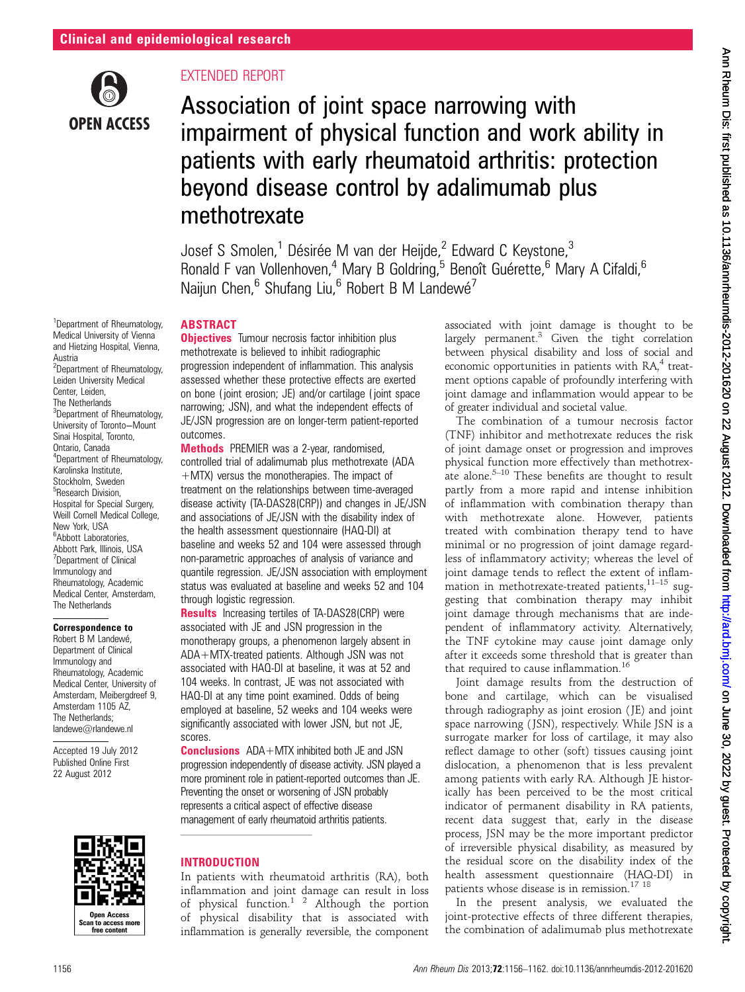

<sup>1</sup>Department of Rheumatology, Medical University of Vienna and Hietzing Hospital, Vienna,

<sup>2</sup>Department of Rheumatology, Leiden University Medical Center, Leiden, The Netherlands

<sup>3</sup>Department of Rheumatology, University of Toronto−Mount Sinai Hospital, Toronto, Ontario, Canada

4 Department of Rheumatology, Karolinska Institute, Stockholm, Sweden 5 Research Division, Hospital for Special Surgery, Weill Cornell Medical College,

New York, USA <sup>6</sup>Abbott Laboratories, Abbott Park, Illinois, USA <sup>7</sup>Department of Clinical Immunology and Rheumatology, Academic Medical Center, Amsterdam, The Netherlands Correspondence to Robert B M Landewé, Department of Clinical Immunology and Rheumatology, Academic Medical Center, University of Amsterdam, Meibergdreef 9, Amsterdam 1105 AZ, The Netherlands; landewe@rlandewe.nl Accepted 19 July 2012 Published Online First 22 August 2012

Austria

## EXTENDED REPORT

# Association of joint space narrowing with impairment of physical function and work ability in patients with early rheumatoid arthritis: protection beyond disease control by adalimumab plus methotrexate

Josef S Smolen,<sup>1</sup> Désirée M van der Heijde,<sup>2</sup> Edward C Keystone,<sup>3</sup> Ronald F van Vollenhoven,<sup>4</sup> Mary B Goldring,<sup>5</sup> Benoît Guérette,<sup>6</sup> Mary A Cifaldi,<sup>6</sup> Naijun Chen,<sup>6</sup> Shufang Liu,<sup>6</sup> Robert B M Landewé<sup>7</sup>

#### ABSTRACT

**Objectives** Tumour necrosis factor inhibition plus methotrexate is believed to inhibit radiographic progression independent of inflammation. This analysis assessed whether these protective effects are exerted on bone ( joint erosion; JE) and/or cartilage ( joint space narrowing; JSN), and what the independent effects of JE/JSN progression are on longer-term patient-reported outcomes.

Methods PREMIER was a 2-year, randomised, controlled trial of adalimumab plus methotrexate (ADA +MTX) versus the monotherapies. The impact of treatment on the relationships between time-averaged disease activity (TA-DAS28(CRP)) and changes in JE/JSN and associations of JE/JSN with the disability index of the health assessment questionnaire (HAQ-DI) at baseline and weeks 52 and 104 were assessed through non-parametric approaches of analysis of variance and quantile regression. JE/JSN association with employment status was evaluated at baseline and weeks 52 and 104 through logistic regression.

**Results** Increasing tertiles of TA-DAS28(CRP) were associated with JE and JSN progression in the monotherapy groups, a phenomenon largely absent in ADA+MTX-treated patients. Although JSN was not associated with HAQ-DI at baseline, it was at 52 and 104 weeks. In contrast, JE was not associated with HAQ-DI at any time point examined. Odds of being employed at baseline, 52 weeks and 104 weeks were significantly associated with lower JSN, but not JE, scores.

Conclusions ADA+MTX inhibited both JE and JSN progression independently of disease activity. JSN played a more prominent role in patient-reported outcomes than JE. Preventing the onset or worsening of JSN probably represents a critical aspect of effective disease management of early rheumatoid arthritis patients.

Open Access n to access mo free content

#### INTRODUCTION

In patients with rheumatoid arthritis (RA), both inflammation and joint damage can result in loss of physical function.<sup>1</sup> <sup>2</sup> Although the portion of physical disability that is associated with inflammation is generally reversible, the component associated with joint damage is thought to be largely permanent.<sup>3</sup> Given the tight correlation between physical disability and loss of social and economic opportunities in patients with  $RA<sub>1</sub><sup>4</sup>$  treatment options capable of profoundly interfering with joint damage and inflammation would appear to be of greater individual and societal value.

The combination of a tumour necrosis factor (TNF) inhibitor and methotrexate reduces the risk of joint damage onset or progression and improves physical function more effectively than methotrexate alone.<sup>5–10</sup> These benefits are thought to result partly from a more rapid and intense inhibition of inflammation with combination therapy than with methotrexate alone. However, patients treated with combination therapy tend to have minimal or no progression of joint damage regardless of inflammatory activity; whereas the level of joint damage tends to reflect the extent of inflammation in methotrexate-treated patients, $11-15$  suggesting that combination therapy may inhibit joint damage through mechanisms that are independent of inflammatory activity. Alternatively, the TNF cytokine may cause joint damage only after it exceeds some threshold that is greater than that required to cause inflammation.<sup>16</sup>

Joint damage results from the destruction of bone and cartilage, which can be visualised through radiography as joint erosion ( JE) and joint space narrowing ( JSN), respectively. While JSN is a surrogate marker for loss of cartilage, it may also reflect damage to other (soft) tissues causing joint dislocation, a phenomenon that is less prevalent among patients with early RA. Although JE historically has been perceived to be the most critical indicator of permanent disability in RA patients, recent data suggest that, early in the disease process, JSN may be the more important predictor of irreversible physical disability, as measured by the residual score on the disability index of the health assessment questionnaire (HAQ-DI) in patients whose disease is in remission.<sup>17 18</sup>

In the present analysis, we evaluated the joint-protective effects of three different therapies, the combination of adalimumab plus methotrexate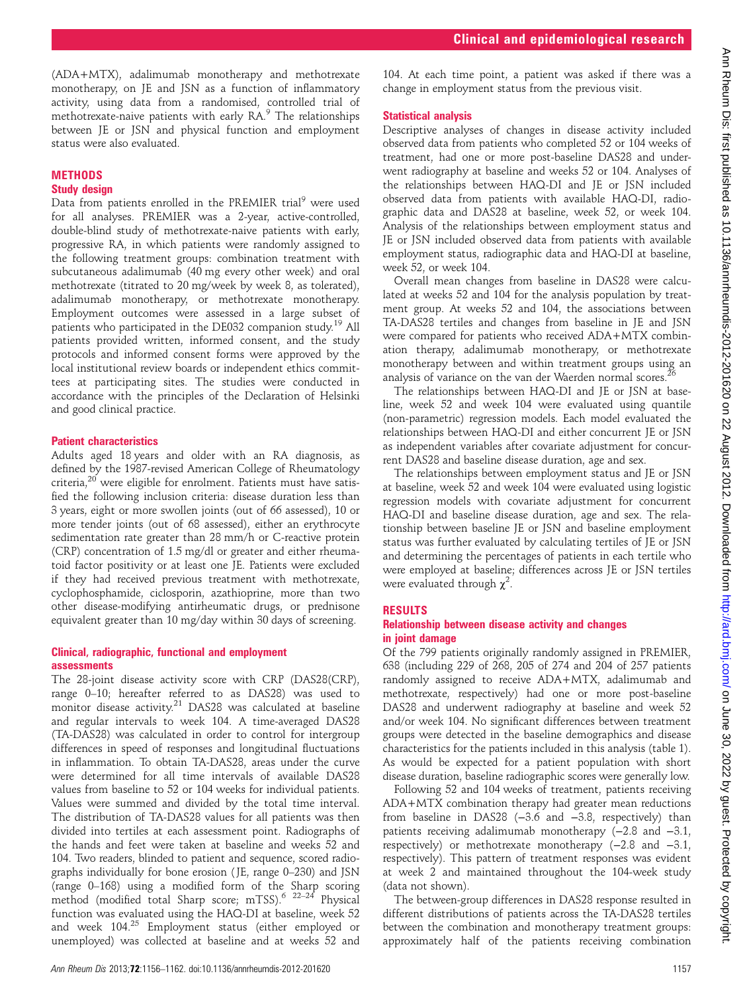(ADA+MTX), adalimumab monotherapy and methotrexate monotherapy, on JE and JSN as a function of inflammatory activity, using data from a randomised, controlled trial of methotrexate-naive patients with early RA.<sup>9</sup> The relationships between JE or JSN and physical function and employment status were also evaluated.

#### **METHODS** Study design

Data from patients enrolled in the PREMIER trial<sup>9</sup> were used for all analyses. PREMIER was a 2-year, active-controlled, double-blind study of methotrexate-naive patients with early, progressive RA, in which patients were randomly assigned to the following treatment groups: combination treatment with subcutaneous adalimumab (40 mg every other week) and oral methotrexate (titrated to 20 mg/week by week 8, as tolerated), adalimumab monotherapy, or methotrexate monotherapy. Employment outcomes were assessed in a large subset of patients who participated in the DE032 companion study.<sup>19</sup> All patients provided written, informed consent, and the study protocols and informed consent forms were approved by the local institutional review boards or independent ethics committees at participating sites. The studies were conducted in accordance with the principles of the Declaration of Helsinki and good clinical practice.

#### Patient characteristics

Adults aged 18 years and older with an RA diagnosis, as defined by the 1987-revised American College of Rheumatology criteria, $20$  were eligible for enrolment. Patients must have satisfied the following inclusion criteria: disease duration less than 3 years, eight or more swollen joints (out of 66 assessed), 10 or more tender joints (out of 68 assessed), either an erythrocyte sedimentation rate greater than 28 mm/h or C-reactive protein (CRP) concentration of 1.5 mg/dl or greater and either rheumatoid factor positivity or at least one JE. Patients were excluded if they had received previous treatment with methotrexate, cyclophosphamide, ciclosporin, azathioprine, more than two other disease-modifying antirheumatic drugs, or prednisone equivalent greater than 10 mg/day within 30 days of screening.

#### Clinical, radiographic, functional and employment assessments

The 28-joint disease activity score with CRP (DAS28(CRP), range 0–10; hereafter referred to as DAS28) was used to monitor disease activity.<sup>21</sup> DAS28 was calculated at baseline and regular intervals to week 104. A time-averaged DAS28 (TA-DAS28) was calculated in order to control for intergroup differences in speed of responses and longitudinal fluctuations in inflammation. To obtain TA-DAS28, areas under the curve were determined for all time intervals of available DAS28 values from baseline to 52 or 104 weeks for individual patients. Values were summed and divided by the total time interval. The distribution of TA-DAS28 values for all patients was then divided into tertiles at each assessment point. Radiographs of the hands and feet were taken at baseline and weeks 52 and 104. Two readers, blinded to patient and sequence, scored radiographs individually for bone erosion ( JE, range 0–230) and JSN (range 0–168) using a modified form of the Sharp scoring method (modified total Sharp score; mTSS).<sup>6 22-24</sup> Physical function was evaluated using the HAQ-DI at baseline, week 52 and week 104.25 Employment status (either employed or unemployed) was collected at baseline and at weeks 52 and

104. At each time point, a patient was asked if there was a change in employment status from the previous visit.

#### Statistical analysis

Descriptive analyses of changes in disease activity included observed data from patients who completed 52 or 104 weeks of treatment, had one or more post-baseline DAS28 and underwent radiography at baseline and weeks 52 or 104. Analyses of the relationships between HAQ-DI and JE or JSN included observed data from patients with available HAQ-DI, radiographic data and DAS28 at baseline, week 52, or week 104. Analysis of the relationships between employment status and JE or JSN included observed data from patients with available employment status, radiographic data and HAQ-DI at baseline, week 52, or week 104.

Overall mean changes from baseline in DAS28 were calculated at weeks 52 and 104 for the analysis population by treatment group. At weeks 52 and 104, the associations between TA-DAS28 tertiles and changes from baseline in JE and JSN were compared for patients who received ADA+MTX combination therapy, adalimumab monotherapy, or methotrexate monotherapy between and within treatment groups using an analysis of variance on the van der Waerden normal scores.<sup>26</sup>

The relationships between HAQ-DI and JE or JSN at baseline, week 52 and week 104 were evaluated using quantile (non-parametric) regression models. Each model evaluated the relationships between HAQ-DI and either concurrent JE or JSN as independent variables after covariate adjustment for concurrent DAS28 and baseline disease duration, age and sex.

The relationships between employment status and JE or JSN at baseline, week 52 and week 104 were evaluated using logistic regression models with covariate adjustment for concurrent HAQ-DI and baseline disease duration, age and sex. The relationship between baseline JE or JSN and baseline employment status was further evaluated by calculating tertiles of JE or JSN and determining the percentages of patients in each tertile who were employed at baseline; differences across JE or JSN tertiles were evaluated through  $\chi^2$ .

#### RESULTS

#### Relationship between disease activity and changes in joint damage

Of the 799 patients originally randomly assigned in PREMIER, 638 (including 229 of 268, 205 of 274 and 204 of 257 patients randomly assigned to receive ADA+MTX, adalimumab and methotrexate, respectively) had one or more post-baseline DAS28 and underwent radiography at baseline and week 52 and/or week 104. No significant differences between treatment groups were detected in the baseline demographics and disease characteristics for the patients included in this analysis (table 1). As would be expected for a patient population with short disease duration, baseline radiographic scores were generally low.

Following 52 and 104 weeks of treatment, patients receiving ADA+MTX combination therapy had greater mean reductions from baseline in DAS28 (−3.6 and −3.8, respectively) than patients receiving adalimumab monotherapy (−2.8 and −3.1, respectively) or methotrexate monotherapy (−2.8 and −3.1, respectively). This pattern of treatment responses was evident at week 2 and maintained throughout the 104-week study (data not shown).

The between-group differences in DAS28 response resulted in different distributions of patients across the TA-DAS28 tertiles between the combination and monotherapy treatment groups: approximately half of the patients receiving combination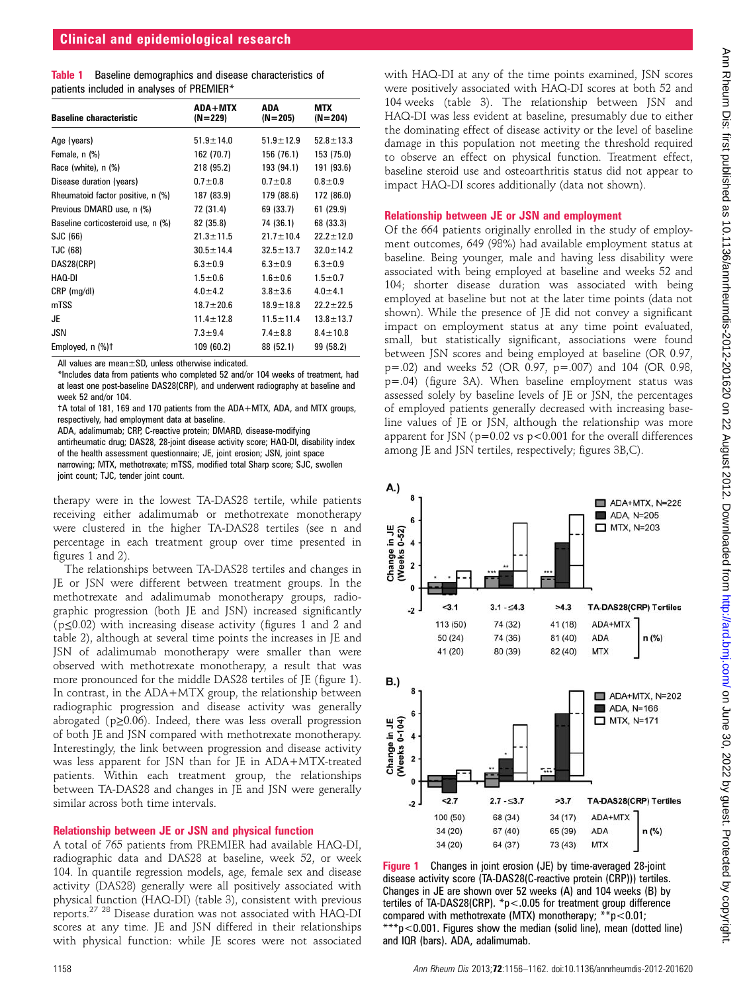| Table 1 | Baseline demographics and disease characteristics of |
|---------|------------------------------------------------------|
|         | patients included in analyses of PREMIER*            |

| <b>Baseline characteristic</b>     | ADA+MTX<br>$(N=229)$ | ADA<br>$(N=205)$ | <b>MTX</b><br>$(N=204)$ |
|------------------------------------|----------------------|------------------|-------------------------|
| Age (years)                        | $51.9 \pm 14.0$      | $51.9 \pm 12.9$  | $52.8 \pm 13.3$         |
| Female, n (%)                      | 162 (70.7)           | 156 (76.1)       | 153 (75.0)              |
| Race (white), n (%)                | 218 (95.2)           | 193 (94.1)       | 191 (93.6)              |
| Disease duration (years)           | $0.7 + 0.8$          | $0.7 + 0.8$      | $0.8 + 0.9$             |
| Rheumatoid factor positive, n (%)  | 187 (83.9)           | 179 (88.6)       | 172 (86.0)              |
| Previous DMARD use, n (%)          | 72 (31.4)            | 69 (33.7)        | 61 (29.9)               |
| Baseline corticosteroid use, n (%) | 82 (35.8)            | 74 (36.1)        | 68 (33.3)               |
| SJC (66)                           | $21.3 \pm 11.5$      | $21.7 \pm 10.4$  | $22.2 \pm 12.0$         |
| <b>TJC (68)</b>                    | $30.5 \pm 14.4$      | $32.5 \pm 13.7$  | $32.0 \pm 14.2$         |
| DAS28(CRP)                         | $6.3 \pm 0.9$        | $6.3 \pm 0.9$    | $6.3 \pm 0.9$           |
| HAQ-DI                             | $1.5 \pm 0.6$        | $1.6 + 0.6$      | $1.5 + 0.7$             |
| $CRP$ (mg/dl)                      | $4.0 \pm 4.2$        | $3.8 + 3.6$      | $4.0 \pm 4.1$           |
| mTSS                               | $18.7 \pm 20.6$      | $18.9 \pm 18.8$  | $22.2 \pm 22.5$         |
| JE                                 | $11.4 \pm 12.8$      | $11.5 \pm 11.4$  | $13.8 \pm 13.7$         |
| <b>JSN</b>                         | $7.3 \pm 9.4$        | $7.4 + 8.8$      | $8.4 \pm 10.8$          |
| Employed, n (%)t                   | 109 (60.2)           | 88 (52.1)        | 99 (58.2)               |

All values are mean±SD, unless otherwise indicated.

\*Includes data from patients who completed 52 and/or 104 weeks of treatment, had at least one post-baseline DAS28(CRP), and underwent radiography at baseline and week 52 and/or 104.

†A total of 181, 169 and 170 patients from the ADA+MTX, ADA, and MTX groups, respectively, had employment data at baseline.

ADA, adalimumab; CRP, C-reactive protein; DMARD, disease-modifying

antirheumatic drug; DAS28, 28-joint disease activity score; HAQ-DI, disability index of the health assessment questionnaire; JE, joint erosion; JSN, joint space narrowing; MTX, methotrexate; mTSS, modified total Sharp score; SJC, swollen joint count; TJC, tender joint count.

therapy were in the lowest TA-DAS28 tertile, while patients receiving either adalimumab or methotrexate monotherapy were clustered in the higher TA-DAS28 tertiles (see n and percentage in each treatment group over time presented in figures 1 and 2).

The relationships between TA-DAS28 tertiles and changes in JE or JSN were different between treatment groups. In the methotrexate and adalimumab monotherapy groups, radiographic progression (both JE and JSN) increased significantly (p≤0.02) with increasing disease activity (figures 1 and 2 and table 2), although at several time points the increases in JE and JSN of adalimumab monotherapy were smaller than were observed with methotrexate monotherapy, a result that was more pronounced for the middle DAS28 tertiles of JE (figure 1). In contrast, in the ADA+MTX group, the relationship between radiographic progression and disease activity was generally abrogated (p≥0.06). Indeed, there was less overall progression of both JE and JSN compared with methotrexate monotherapy. Interestingly, the link between progression and disease activity was less apparent for JSN than for JE in ADA+MTX-treated patients. Within each treatment group, the relationships between TA-DAS28 and changes in JE and JSN were generally similar across both time intervals.

#### Relationship between JE or JSN and physical function

A total of 765 patients from PREMIER had available HAQ-DI, radiographic data and DAS28 at baseline, week 52, or week 104. In quantile regression models, age, female sex and disease activity (DAS28) generally were all positively associated with physical function (HAQ-DI) (table 3), consistent with previous reports.27 28 Disease duration was not associated with HAQ-DI scores at any time. JE and JSN differed in their relationships with physical function: while JE scores were not associated

with HAQ-DI at any of the time points examined, JSN scores were positively associated with HAQ-DI scores at both 52 and 104 weeks (table 3). The relationship between JSN and HAQ-DI was less evident at baseline, presumably due to either the dominating effect of disease activity or the level of baseline damage in this population not meeting the threshold required to observe an effect on physical function. Treatment effect, baseline steroid use and osteoarthritis status did not appear to impact HAQ-DI scores additionally (data not shown).

#### Relationship between JE or JSN and employment

Of the 664 patients originally enrolled in the study of employment outcomes, 649 (98%) had available employment status at baseline. Being younger, male and having less disability were associated with being employed at baseline and weeks 52 and 104; shorter disease duration was associated with being employed at baseline but not at the later time points (data not shown). While the presence of JE did not convey a significant impact on employment status at any time point evaluated, small, but statistically significant, associations were found between JSN scores and being employed at baseline (OR 0.97, p=.02) and weeks 52 (OR 0.97, p=.007) and 104 (OR 0.98, p=.04) (figure 3A). When baseline employment status was assessed solely by baseline levels of JE or JSN, the percentages of employed patients generally decreased with increasing baseline values of JE or JSN, although the relationship was more apparent for JSN ( $p=0.02$  vs  $p<0.001$  for the overall differences among JE and JSN tertiles, respectively; figures 3B,C).



Figure 1 Changes in joint erosion (JE) by time-averaged 28-joint disease activity score (TA-DAS28(C-reactive protein (CRP))) tertiles. Changes in JE are shown over 52 weeks (A) and 104 weeks (B) by tertiles of TA-DAS28(CRP). \*p<.0.05 for treatment group difference compared with methotrexate (MTX) monotherapy; \*\*p<0.01; \*\*\*p<0.001. Figures show the median (solid line), mean (dotted line) and IQR (bars). ADA, adalimumab.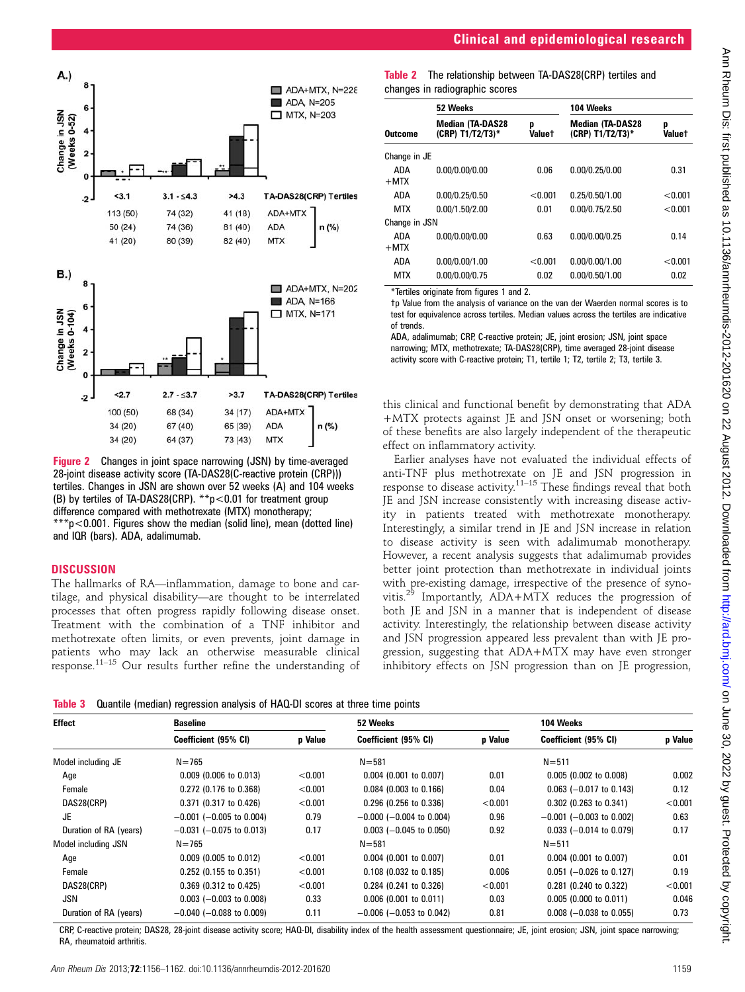



Figure 2 Changes in joint space narrowing (JSN) by time-averaged 28-joint disease activity score (TA-DAS28(C-reactive protein (CRP))) tertiles. Changes in JSN are shown over 52 weeks (A) and 104 weeks (B) by tertiles of TA-DAS28(CRP).  $*p$  < 0.01 for treatment group difference compared with methotrexate (MTX) monotherapy; \*\*\*p<0.001. Figures show the median (solid line), mean (dotted line) and IQR (bars). ADA, adalimumab.

#### **DISCUSSION**

The hallmarks of RA—inflammation, damage to bone and cartilage, and physical disability—are thought to be interrelated processes that often progress rapidly following disease onset. Treatment with the combination of a TNF inhibitor and methotrexate often limits, or even prevents, joint damage in patients who may lack an otherwise measurable clinical response.11–<sup>15</sup> Our results further refine the understanding of Table 2 The relationship between TA-DAS28(CRP) tertiles and changes in radiographic scores

|                       | 52 Weeks                                    |                    | 104 Weeks                                   |                    |  |  |
|-----------------------|---------------------------------------------|--------------------|---------------------------------------------|--------------------|--|--|
| <b>Outcome</b>        | <b>Median (TA-DAS28</b><br>(CRP) T1/T2/T3)* | p<br><b>Valuet</b> | <b>Median (TA-DAS28</b><br>(CRP) T1/T2/T3)* | p<br><b>Valuet</b> |  |  |
| Change in JE          |                                             |                    |                                             |                    |  |  |
| <b>ADA</b><br>$+$ MTX | 0.00/0.00/0.00                              | 0.06               | 0.00/0.25/0.00                              | 0.31               |  |  |
| <b>ADA</b>            | 0.00/0.25/0.50                              | < 0.001            | 0.25/0.50/1.00                              | < 0.001            |  |  |
| <b>MTX</b>            | 0.00/1.50/2.00                              | 0.01               | 0.00/0.75/2.50                              | < 0.001            |  |  |
| Change in JSN         |                                             |                    |                                             |                    |  |  |
| <b>ADA</b><br>$+$ MTX | 0.00/0.00/0.00                              | 0.63               | 0.00/0.00/0.25                              | 0.14               |  |  |
| <b>ADA</b>            | 0.00/0.00/1.00                              | < 0.001            | 0.00/0.00/1.00                              | < 0.001            |  |  |
| <b>MTX</b>            | 0.00/0.00/0.75                              | 0.02               | 0.00/0.50/1.00                              | 0.02               |  |  |
|                       |                                             |                    |                                             |                    |  |  |

\*Tertiles originate from figures 1 and 2.

†p Value from the analysis of variance on the van der Waerden normal scores is to test for equivalence across tertiles. Median values across the tertiles are indicative of trends.

ADA, adalimumab; CRP, C-reactive protein; JE, joint erosion; JSN, joint space narrowing: MTX, methotrexate: TA-DAS28(CRP), time averaged 28-joint disease activity score with C-reactive protein; T1, tertile 1; T2, tertile 2; T3, tertile 3.

this clinical and functional benefit by demonstrating that ADA +MTX protects against JE and JSN onset or worsening; both of these benefits are also largely independent of the therapeutic effect on inflammatory activity.

Earlier analyses have not evaluated the individual effects of anti-TNF plus methotrexate on JE and JSN progression in response to disease activity.<sup>11–15</sup> These findings reveal that both JE and JSN increase consistently with increasing disease activity in patients treated with methotrexate monotherapy. Interestingly, a similar trend in JE and JSN increase in relation to disease activity is seen with adalimumab monotherapy. However, a recent analysis suggests that adalimumab provides better joint protection than methotrexate in individual joints with pre-existing damage, irrespective of the presence of synovitis.29 Importantly, ADA+MTX reduces the progression of both JE and JSN in a manner that is independent of disease activity. Interestingly, the relationship between disease activity and JSN progression appeared less prevalent than with JE progression, suggesting that ADA+MTX may have even stronger inhibitory effects on JSN progression than on JE progression,

|  | Table 3 Quantile (median) regression analysis of HAQ-DI scores at three time points |  |  |  |  |  |  |  |
|--|-------------------------------------------------------------------------------------|--|--|--|--|--|--|--|
|--|-------------------------------------------------------------------------------------|--|--|--|--|--|--|--|

| <b>Effect</b>          | <b>Baseline</b>               |         | 52 Weeks                      |         | 104 Weeks                     |         |  |
|------------------------|-------------------------------|---------|-------------------------------|---------|-------------------------------|---------|--|
|                        | Coefficient (95% CI)          | p Value | Coefficient (95% CI)          | p Value | Coefficient (95% CI)          | p Value |  |
| Model including JE     | $N = 765$                     |         | $N = 581$                     |         | $N = 511$                     |         |  |
| Age                    | $0.009$ (0.006 to 0.013)      | < 0.001 | $0.004$ (0.001 to 0.007)      | 0.01    | $0.005$ (0.002 to 0.008)      | 0.002   |  |
| Female                 | 0.272 (0.176 to 0.368)        | < 0.001 | $0.084$ (0.003 to 0.166)      | 0.04    | $0.063$ (-0.017 to 0.143)     | 0.12    |  |
| DAS28(CRP)             | 0.371 (0.317 to 0.426)        | < 0.001 | $0.296$ (0.256 to 0.336)      | < 0.001 | $0.302$ (0.263 to 0.341)      | < 0.001 |  |
| JE                     | $-0.001$ ( $-0.005$ to 0.004) | 0.79    | $-0.000$ ( $-0.004$ to 0.004) | 0.96    | $-0.001$ ( $-0.003$ to 0.002) | 0.63    |  |
| Duration of RA (years) | $-0.031$ ( $-0.075$ to 0.013) | 0.17    | $0.003$ (-0.045 to 0.050)     | 0.92    | $0.033$ (-0.014 to 0.079)     | 0.17    |  |
| Model including JSN    | $N = 765$                     |         | $N = 581$                     |         | $N = 511$                     |         |  |
| Age                    | 0.009 (0.005 to 0.012)        | < 0.001 | $0.004$ (0.001 to 0.007)      | 0.01    | $0.004$ (0.001 to 0.007)      | 0.01    |  |
| Female                 | $0.252$ (0.155 to 0.351)      | < 0.001 | $0.108$ (0.032 to 0.185)      | 0.006   | $0.051$ (-0.026 to 0.127)     | 0.19    |  |
| DAS28(CRP)             | $0.369$ (0.312 to 0.425)      | < 0.001 | 0.284 (0.241 to 0.326)        | < 0.001 | 0.281 (0.240 to 0.322)        | < 0.001 |  |
| JSN                    | $0.003$ (-0.003 to 0.008)     | 0.33    | $0.006$ (0.001 to 0.011)      | 0.03    | $0.005$ (0.000 to 0.011)      | 0.046   |  |
| Duration of RA (years) | $-0.040$ ( $-0.088$ to 0.009) | 0.11    | $-0.006$ ( $-0.053$ to 0.042) | 0.81    | $0.008$ (-0.038 to 0.055)     | 0.73    |  |

CRP, C-reactive protein; DAS28, 28-joint disease activity score; HAQ-DI, disability index of the health assessment questionnaire; JE, joint erosion; JSN, joint space narrowing; RA, rheumatoid arthritis.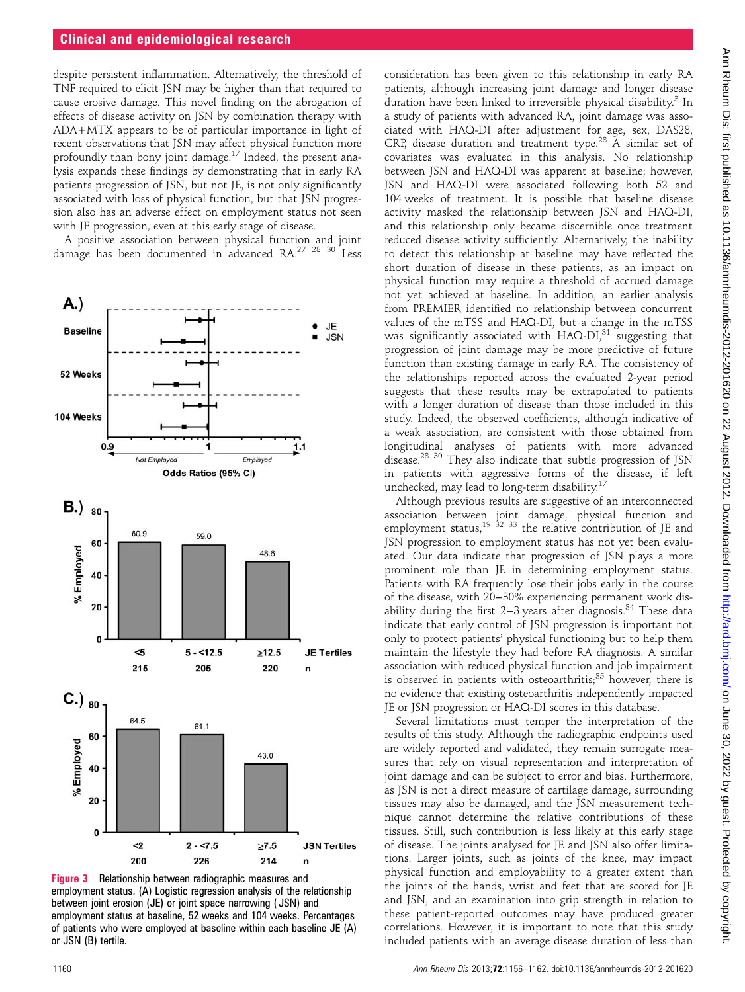despite persistent inflammation. Alternatively, the threshold of TNF required to elicit JSN may be higher than that required to cause erosive damage. This novel finding on the abrogation of effects of disease activity on JSN by combination therapy with ADA+MTX appears to be of particular importance in light of recent observations that JSN may affect physical function more profoundly than bony joint damage.17 Indeed, the present analysis expands these findings by demonstrating that in early RA patients progression of JSN, but not JE, is not only significantly associated with loss of physical function, but that JSN progression also has an adverse effect on employment status not seen with JE progression, even at this early stage of disease.

A positive association between physical function and joint damage has been documented in advanced RA.<sup>27 28 30</sup> Less



Figure 3 Relationship between radiographic measures and employment status. (A) Logistic regression analysis of the relationship between joint erosion (JE) or joint space narrowing ( JSN) and employment status at baseline, 52 weeks and 104 weeks. Percentages of patients who were employed at baseline within each baseline JE (A) or JSN (B) tertile.

consideration has been given to this relationship in early RA patients, although increasing joint damage and longer disease duration have been linked to irreversible physical disability.<sup>3</sup> In a study of patients with advanced RA, joint damage was associated with HAQ-DI after adjustment for age, sex, DAS28, CRP, disease duration and treatment type.28 A similar set of covariates was evaluated in this analysis. No relationship between JSN and HAQ-DI was apparent at baseline; however, JSN and HAQ-DI were associated following both 52 and 104 weeks of treatment. It is possible that baseline disease activity masked the relationship between JSN and HAQ-DI, and this relationship only became discernible once treatment reduced disease activity sufficiently. Alternatively, the inability to detect this relationship at baseline may have reflected the short duration of disease in these patients, as an impact on physical function may require a threshold of accrued damage not yet achieved at baseline. In addition, an earlier analysis from PREMIER identified no relationship between concurrent values of the mTSS and HAQ-DI, but a change in the mTSS was significantly associated with  $HAQ-DI$ , $31$  suggesting that progression of joint damage may be more predictive of future function than existing damage in early RA. The consistency of the relationships reported across the evaluated 2-year period suggests that these results may be extrapolated to patients with a longer duration of disease than those included in this study. Indeed, the observed coefficients, although indicative of a weak association, are consistent with those obtained from longitudinal analyses of patients with more advanced disease.28 30 They also indicate that subtle progression of JSN in patients with aggressive forms of the disease, if left unchecked, may lead to long-term disability.<sup>17</sup>

Although previous results are suggestive of an interconnected association between joint damage, physical function and employment status,<sup>19 32 33</sup> the relative contribution of JE and JSN progression to employment status has not yet been evaluated. Our data indicate that progression of JSN plays a more prominent role than JE in determining employment status. Patients with RA frequently lose their jobs early in the course of the disease, with 20−30% experiencing permanent work disability during the first 2–3 years after diagnosis.<sup>34</sup> These data indicate that early control of JSN progression is important not only to protect patients' physical functioning but to help them maintain the lifestyle they had before RA diagnosis. A similar association with reduced physical function and job impairment is observed in patients with osteoarthritis; $35$  however, there is no evidence that existing osteoarthritis independently impacted JE or JSN progression or HAQ-DI scores in this database.

Several limitations must temper the interpretation of the results of this study. Although the radiographic endpoints used are widely reported and validated, they remain surrogate measures that rely on visual representation and interpretation of joint damage and can be subject to error and bias. Furthermore, as JSN is not a direct measure of cartilage damage, surrounding tissues may also be damaged, and the JSN measurement technique cannot determine the relative contributions of these tissues. Still, such contribution is less likely at this early stage of disease. The joints analysed for JE and JSN also offer limitations. Larger joints, such as joints of the knee, may impact physical function and employability to a greater extent than the joints of the hands, wrist and feet that are scored for JE and JSN, and an examination into grip strength in relation to these patient-reported outcomes may have produced greater correlations. However, it is important to note that this study included patients with an average disease duration of less than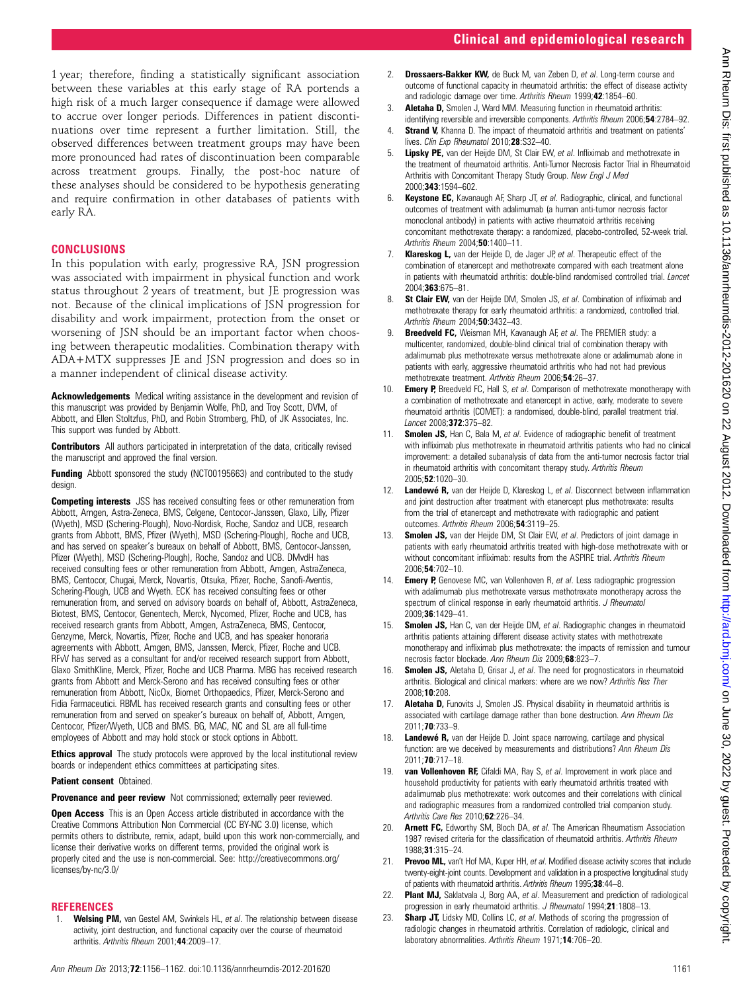### Clinical and epidemiological research

1 year; therefore, finding a statistically significant association between these variables at this early stage of RA portends a high risk of a much larger consequence if damage were allowed to accrue over longer periods. Differences in patient discontinuations over time represent a further limitation. Still, the observed differences between treatment groups may have been more pronounced had rates of discontinuation been comparable across treatment groups. Finally, the post-hoc nature of these analyses should be considered to be hypothesis generating and require confirmation in other databases of patients with early RA.

#### **CONCLUSIONS**

In this population with early, progressive RA, JSN progression was associated with impairment in physical function and work status throughout 2 years of treatment, but JE progression was not. Because of the clinical implications of JSN progression for disability and work impairment, protection from the onset or worsening of JSN should be an important factor when choosing between therapeutic modalities. Combination therapy with ADA+MTX suppresses JE and JSN progression and does so in a manner independent of clinical disease activity.

Acknowledgements Medical writing assistance in the development and revision of this manuscript was provided by Benjamin Wolfe, PhD, and Troy Scott, DVM, of Abbott, and Ellen Stoltzfus, PhD, and Robin Stromberg, PhD, of JK Associates, Inc. This support was funded by Abbott.

**Contributors** All authors participated in interpretation of the data, critically revised the manuscript and approved the final version.

Funding Abbott sponsored the study (NCT00195663) and contributed to the study design.

**Competing interests** JSS has received consulting fees or other remuneration from Abbott, Amgen, Astra-Zeneca, BMS, Celgene, Centocor-Janssen, Glaxo, Lilly, Pfizer (Wyeth), MSD (Schering-Plough), Novo-Nordisk, Roche, Sandoz and UCB, research grants from Abbott, BMS, Pfizer (Wyeth), MSD (Schering-Plough), Roche and UCB, and has served on speaker's bureaux on behalf of Abbott, BMS, Centocor-Janssen, Pfizer (Wyeth), MSD (Schering-Plough), Roche, Sandoz and UCB. DMvdH has received consulting fees or other remuneration from Abbott, Amgen, AstraZeneca, BMS, Centocor, Chugai, Merck, Novartis, Otsuka, Pfizer, Roche, Sanofi-Aventis, Schering-Plough, UCB and Wyeth. ECK has received consulting fees or other remuneration from, and served on advisory boards on behalf of, Abbott, AstraZeneca, Biotest, BMS, Centocor, Genentech, Merck, Nycomed, Pfizer, Roche and UCB, has received research grants from Abbott, Amgen, AstraZeneca, BMS, Centocor, Genzyme, Merck, Novartis, Pfizer, Roche and UCB, and has speaker honoraria agreements with Abbott, Amgen, BMS, Janssen, Merck, Pfizer, Roche and UCB. RFvV has served as a consultant for and/or received research support from Abbott, Glaxo SmithKline, Merck, Pfizer, Roche and UCB Pharma. MBG has received research grants from Abbott and Merck-Serono and has received consulting fees or other remuneration from Abbott, NicOx, Biomet Orthopaedics, Pfizer, Merck-Serono and Fidia Farmaceutici. RBML has received research grants and consulting fees or other remuneration from and served on speaker's bureaux on behalf of, Abbott, Amgen, Centocor, Pfizer/Wyeth, UCB and BMS. BG, MAC, NC and SL are all full-time employees of Abbott and may hold stock or stock options in Abbott.

**Ethics approval** The study protocols were approved by the local institutional review boards or independent ethics committees at participating sites.

#### Patient consent Obtained.

Provenance and peer review Not commissioned; externally peer reviewed.

**Open Access** This is an Open Access article distributed in accordance with the Creative Commons Attribution Non Commercial (CC BY-NC 3.0) license, which permits others to distribute, remix, adapt, build upon this work non-commercially, and license their derivative works on different terms, provided the original work is properly cited and the use is non-commercial. See: http://creativecommons.org/ licenses/by-nc/3.0/

#### REFERENCES

1. Welsing PM, van Gestel AM, Swinkels HL, et al. The relationship between disease activity, joint destruction, and functional capacity over the course of rheumatoid arthritis. Arthritis Rheum 2001;44:2009–17.

- 2. Drossaers-Bakker KW, de Buck M, van Zeben D, et al. Long-term course and outcome of functional capacity in rheumatoid arthritis: the effect of disease activity and radiologic damage over time. Arthritis Rheum 1999;42:1854–60.
- 3. Aletaha D, Smolen J, Ward MM. Measuring function in rheumatoid arthritis: identifying reversible and irreversible components. Arthritis Rheum 2006;54:2784-92.
- 4. **Strand V.** Khanna D. The impact of rheumatoid arthritis and treatment on patients' lives. Clin Exp Rheumatol 2010;28:S32-40.
- 5. Lipsky PE, van der Heijde DM, St Clair EW, et al. Infliximab and methotrexate in the treatment of rheumatoid arthritis. Anti-Tumor Necrosis Factor Trial in Rheumatoid Arthritis with Concomitant Therapy Study Group. New Engl J Med 2000;343:1594–602.
- 6. Keystone EC, Kavanaugh AF, Sharp JT, et al. Radiographic, clinical, and functional outcomes of treatment with adalimumab (a human anti-tumor necrosis factor monoclonal antibody) in patients with active rheumatoid arthritis receiving concomitant methotrexate therapy: a randomized, placebo-controlled, 52-week trial. Arthritis Rheum 2004;50:1400–11.
- Klareskog L, van der Heijde D, de Jager JP, et al. Therapeutic effect of the combination of etanercept and methotrexate compared with each treatment alone in patients with rheumatoid arthritis: double-blind randomised controlled trial. Lancet 2004;363:675–81.
- 8. St Clair EW, van der Heijde DM, Smolen JS, et al. Combination of infliximab and methotrexate therapy for early rheumatoid arthritis: a randomized, controlled trial. Arthritis Rheum 2004;50:3432–43.
- 9. Breedveld FC, Weisman MH, Kavanaugh AF, et al. The PREMIER study: a multicenter, randomized, double-blind clinical trial of combination therapy with adalimumab plus methotrexate versus methotrexate alone or adalimumab alone in patients with early, aggressive rheumatoid arthritis who had not had previous methotrexate treatment. Arthritis Rheum 2006;54:26-37.
- 10. **Emery P,** Breedveld FC, Hall S, et al. Comparison of methotrexate monotherapy with a combination of methotrexate and etanercept in active, early, moderate to severe rheumatoid arthritis (COMET): a randomised, double-blind, parallel treatment trial. Lancet 2008;372:375–82.
- 11. **Smolen JS,** Han C, Bala M, et al. Evidence of radiographic benefit of treatment with infliximab plus methotrexate in rheumatoid arthritis patients who had no clinical improvement: a detailed subanalysis of data from the anti-tumor necrosis factor trial in rheumatoid arthritis with concomitant therapy study. Arthritis Rheum 2005;52:1020–30.
- 12. Landewé R, van der Heijde D, Klareskog L, et al. Disconnect between inflammation and joint destruction after treatment with etanercept plus methotrexate: results from the trial of etanercept and methotrexate with radiographic and patient outcomes. Arthritis Rheum 2006:54:3119-25.
- Smolen JS, van der Heijde DM, St Clair EW, et al. Predictors of joint damage in patients with early rheumatoid arthritis treated with high-dose methotrexate with or without concomitant infliximab: results from the ASPIRE trial. Arthritis Rheum 2006;54:702–10.
- 14. Emery P, Genovese MC, van Vollenhoven R, et al. Less radiographic progression with adalimumab plus methotrexate versus methotrexate monotherapy across the spectrum of clinical response in early rheumatoid arthritis. J Rheumatol 2009;36:1429–41.
- 15. **Smolen JS,** Han C, van der Heijde DM, et al. Radiographic changes in rheumatoid arthritis patients attaining different disease activity states with methotrexate monotherapy and infliximab plus methotrexate: the impacts of remission and tumour necrosis factor blockade. Ann Rheum Dis 2009;68:823–7.
- 16. Smolen JS, Aletaha D, Grisar J, et al. The need for prognosticators in rheumatoid arthritis. Biological and clinical markers: where are we now? Arthritis Res Ther 2008;10:208.
- 17. **Aletaha D,** Funovits J, Smolen JS. Physical disability in rheumatoid arthritis is associated with cartilage damage rather than bone destruction. Ann Rheum Dis 2011;70:733–9.
- 18. Landewé R, van der Heijde D. Joint space narrowing, cartilage and physical function: are we deceived by measurements and distributions? Ann Rheum Dis 2011;70:717–18.
- 19. van Vollenhoven RF, Cifaldi MA, Ray S, et al. Improvement in work place and household productivity for patients with early rheumatoid arthritis treated with adalimumab plus methotrexate: work outcomes and their correlations with clinical and radiographic measures from a randomized controlled trial companion study. Arthritis Care Res 2010;62:226–34.
- 20. **Arnett FC,** Edworthy SM, Bloch DA, et al. The American Rheumatism Association 1987 revised criteria for the classification of rheumatoid arthritis. Arthritis Rheum 1988;31:315–24.
- 21. Prevoo ML, van't Hof MA, Kuper HH, et al. Modified disease activity scores that include twenty-eight-joint counts. Development and validation in a prospective longitudinal study of patients with rheumatoid arthritis. Arthritis Rheum 1995;38:44–8.
- 22. Plant MJ, Saklatvala J, Borg AA, et al. Measurement and prediction of radiological progression in early rheumatoid arthritis. J Rheumatol 1994;21:1808-13.
- 23. **Sharp JT,** Lidsky MD, Collins LC, et al. Methods of scoring the progression of radiologic changes in rheumatoid arthritis. Correlation of radiologic, clinical and laboratory abnormalities. Arthritis Rheum 1971;14:706-20.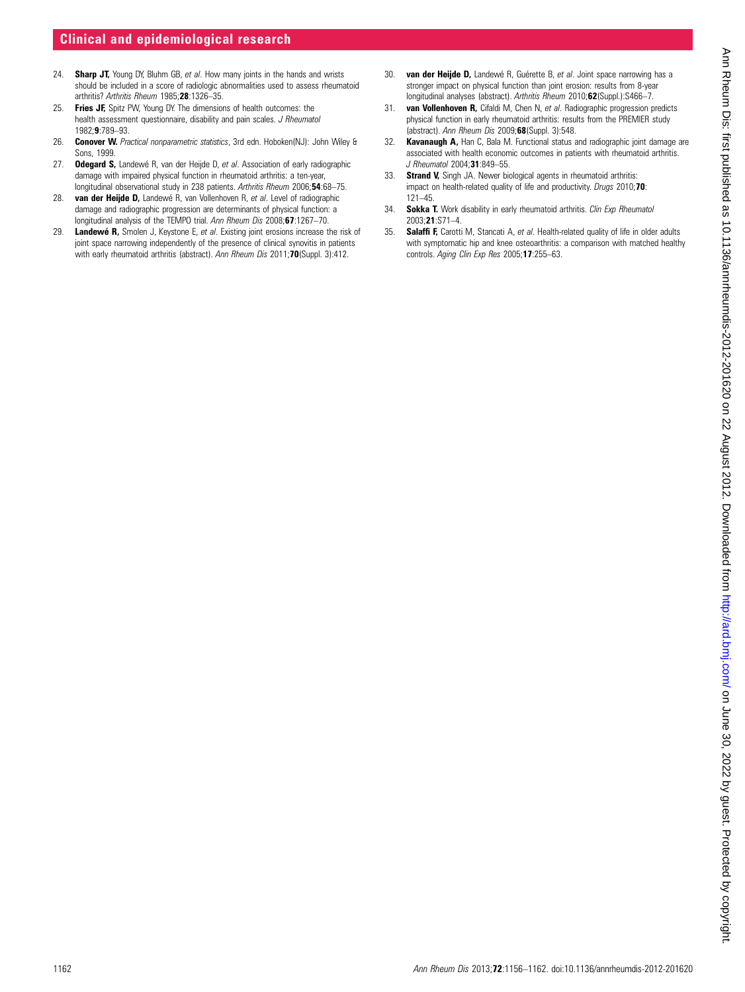## Clinical and epidemiological research

- 24. Sharp JT, Young DY, Bluhm GB, et al. How many joints in the hands and wrists should be included in a score of radiologic abnormalities used to assess rheumatoid arthritis? Arthritis Rheum 1985;28:1326–35.
- 25. Fries JF, Spitz PW, Young DY. The dimensions of health outcomes: the health assessment questionnaire, disability and pain scales. J Rheumatol 1982;9:789–93.
- 26. Conover W. Practical nonparametric statistics, 3rd edn. Hoboken(NJ): John Wiley & Sons, 1999.
- 27. Odegard S, Landewé R, van der Heijde D, et al. Association of early radiographic damage with impaired physical function in rheumatoid arthritis: a ten-year, longitudinal observational study in 238 patients. Arthritis Rheum 2006;54:68-75.
- 28. van der Heijde D, Landewé R, van Vollenhoven R, et al. Level of radiographic damage and radiographic progression are determinants of physical function: a longitudinal analysis of the TEMPO trial. Ann Rheum Dis 2008;67:1267-70.
- 29. Landewé R, Smolen J, Keystone E, et al. Existing joint erosions increase the risk of joint space narrowing independently of the presence of clinical synovitis in patients with early rheumatoid arthritis (abstract). Ann Rheum Dis 2011;70 (Suppl. 3):412.
- 30. van der Heijde D, Landewé R, Guérette B, et al. Joint space narrowing has a stronger impact on physical function than joint erosion: results from 8-year longitudinal analyses (abstract). Arthritis Rheum 2010;62(Suppl.):S466-7.
- 31. van Vollenhoven R, Cifaldi M, Chen N, et al. Radiographic progression predicts physical function in early rheumatoid arthritis: results from the PREMIER study (abstract). Ann Rheum Dis 2009;68(Suppl. 3):548.
- 32. Kavanaugh A, Han C, Bala M. Functional status and radiographic joint damage are associated with health economic outcomes in patients with rheumatoid arthritis. J Rheumatol 2004;31:849–55.
- 33. Strand V, Singh JA. Newer biological agents in rheumatoid arthritis: impact on health-related quality of life and productivity. Drugs 2010;70: 121–45.
- 34. Sokka T. Work disability in early rheumatoid arthritis. Clin Exp Rheumatol 2003;21:S71–4.
- 35. Salaffi F, Carotti M, Stancati A, et al. Health-related quality of life in older adults with symptomatic hip and knee osteoarthritis: a comparison with matched healthy controls. Aging Clin Exp Res 2005;17:255-63.